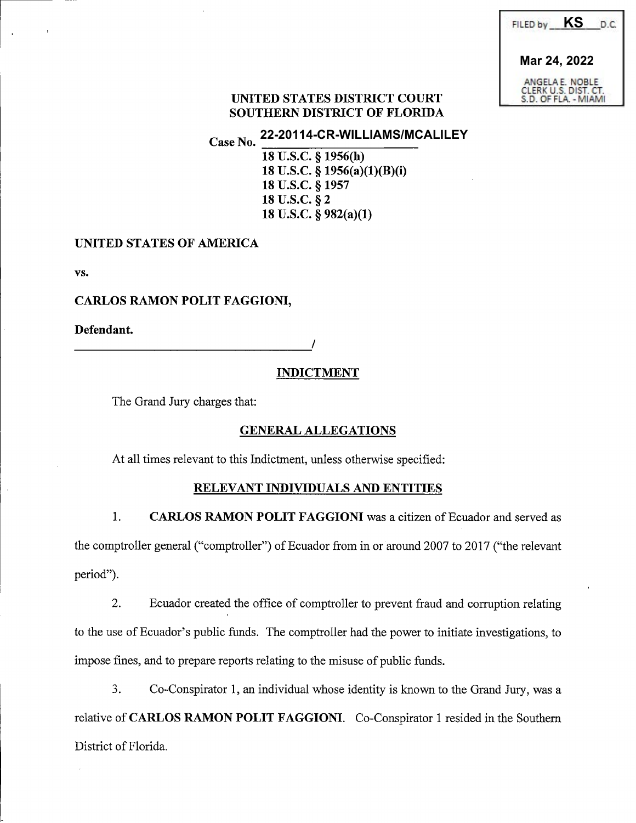| ΚS<br>FILED by                                                  | D.C. |
|-----------------------------------------------------------------|------|
| Mar 24, 2022                                                    |      |
| ANGELA E. NOBLE<br>CLERK U.S. DIST. CT.<br>S.D. OF FLA. - MIAMI |      |

# UNITED STATES DISTRICT COURT SOUTHERN DISTRICT OF FLORIDA

Case No. **22-20114-CR-WILLIAMS/MCALILEY**

> 18 U.S.C. § 1956(h) 18 U.S.C. § 1956(a)(1)(B)(i) 18 U.S.C. § 1957 18 U.S.C. § 2 18 U.S.C. § 982(a)(1)

# UNITED STATES OF AMERICA

VS.

# CARLOS RAMON POLIT FAGGIONI,

Defendant.

/

## **INDICTMENT**

The Grand Jury charges that:

## **GENERAL ALLEGATIONS**

At all times relevant to this Indictment, unless otherwise specified:

## RELEVANT INDIVIDUALS AND ENTITIES

 $1.$ CARLOS RAMON POLIT FAGGIONI was a citizen of Ecuador and served as the comptroller general ("comptroller") of Ecuador from in or around 2007 to 2017 ("the relevant period'').

2. Ecuador created the office of comptroller to prevent fraud and corruption relating to the use of Ecuador's public funds. The comptroller had the power to initiate investigations, to impose fines, and to prepare reports relating to the misuse of public funds.

 $3<sub>1</sub>$ Co-Conspirator 1, an individual whose identity is known to the Grand Jury, was a relative of CARLOS RAMON POLIT FAGGIONI. Co-Conspirator 1 resided in the Southern District of Florida.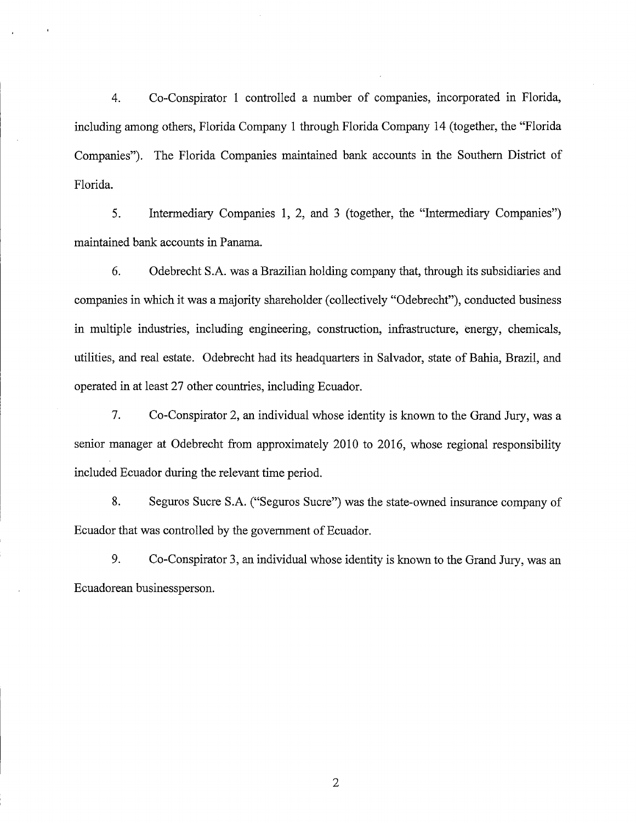$4.$ Co-Conspirator 1 controlled a number of companies, incorporated in Florida, including among others, Florida Company 1 through Florida Company 14 (together, the "Florida" Companies"). The Florida Companies maintained bank accounts in the Southern District of Florida.

 $5<sub>1</sub>$ Intermediary Companies 1, 2, and 3 (together, the "Intermediary Companies") maintained bank accounts in Panama.

6. Odebrecht S.A. was a Brazilian holding company that, through its subsidiaries and companies in which it was a majority shareholder (collectively "Odebrecht"), conducted business in multiple industries, including engineering, construction, infrastructure, energy, chemicals, utilities, and real estate. Odebrecht had its headquarters in Salvador, state of Bahia, Brazil, and operated in at least 27 other countries, including Ecuador.

 $7<sub>1</sub>$ Co-Conspirator 2, an individual whose identity is known to the Grand Jury, was a senior manager at Odebrecht from approximately 2010 to 2016, whose regional responsibility included Ecuador during the relevant time period.

8. Seguros Sucre S.A. ("Seguros Sucre") was the state-owned insurance company of Ecuador that was controlled by the government of Ecuador.

9. Co-Conspirator 3, an individual whose identity is known to the Grand Jury, was an Ecuadorean businessperson.

 $\overline{2}$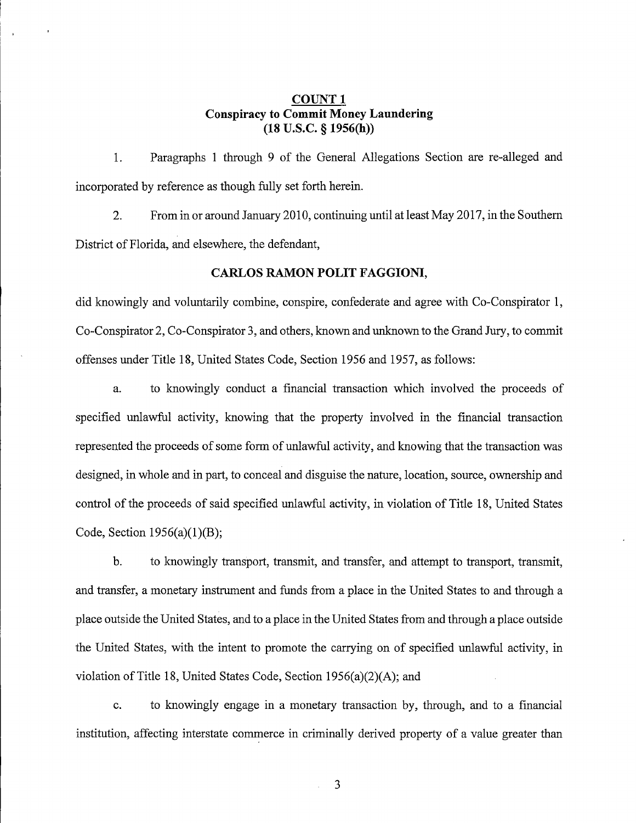## **COUNT1 Conspiracy to Commit Money Laundering**  $(18$  U.S.C.  $§$  1956(h))

Paragraphs 1 through 9 of the General Allegations Section are re-alleged and  $1<sub>1</sub>$ incorporated by reference as though fully set forth herein.

 $2.$ From in or around January 2010, continuing until at least May 2017, in the Southern District of Florida, and elsewhere, the defendant,

### **CARLOS RAMON POLIT FAGGIONI,**

did knowingly and voluntarily combine, conspire, confederate and agree with Co-Conspirator 1, Co-Conspirator 2, Co-Conspirator 3, and others, known and unknown to the Grand Jury, to commit offenses under Title 18, United States Code, Section 1956 and 1957, as follows:

to knowingly conduct a financial transaction which involved the proceeds of a. specified unlawful activity, knowing that the property involved in the financial transaction represented the proceeds of some form of unlawful activity, and knowing that the transaction was designed, in whole and in part, to conceal and disguise the nature, location, source, ownership and control of the proceeds of said specified unlawful activity, in violation of Title 18, United States Code, Section  $1956(a)(1)(B)$ ;

 $<sub>b</sub>$ </sub> to knowingly transport, transmit, and transfer, and attempt to transport, transmit, and transfer, a monetary instrument and funds from a place in the United States to and through a place outside the United States, and to a place in the United States from and through a place outside the United States, with the intent to promote the carrying on of specified unlawful activity, in violation of Title 18, United States Code, Section 1956(a)(2)(A); and

to knowingly engage in a monetary transaction by, through, and to a financial  $\mathbf{c}$ . institution, affecting interstate commerce in criminally derived property of a value greater than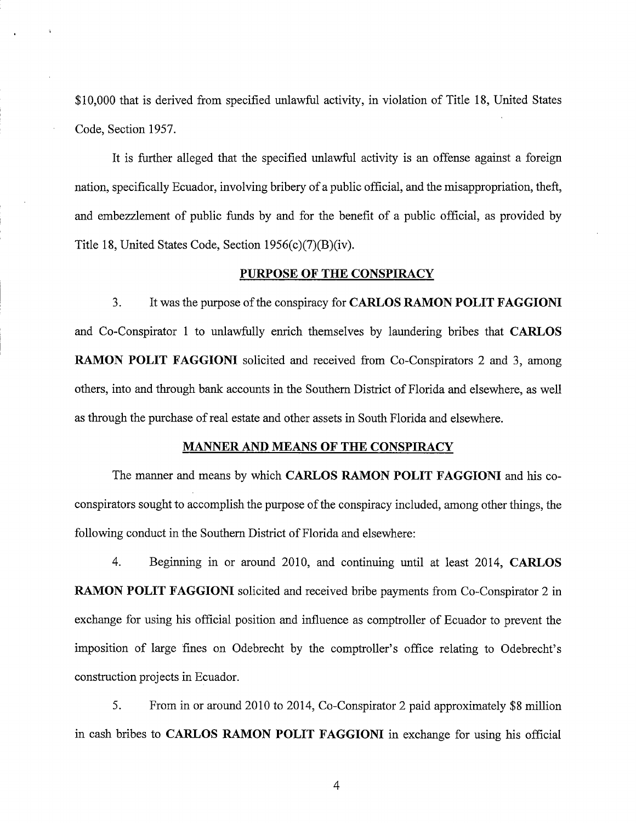\$10,000 that is derived from specified unlawful activity, in violation of Title 18, United States Code, Section 1957.

It is further alleged that the specified unlawful activity is an offense against a foreign nation, specifically Ecuador, involving bribery of a public official, and the misappropriation, theft, and embezzlement of public funds by and for the benefit of a public official, as provided by Title 18, United States Code, Section  $1956(c)(7)(B)(iv)$ .

#### PURPOSE OF THE CONSPIRACY

 $3.$ It was the purpose of the conspiracy for CARLOS RAMON POLIT FAGGIONI and Co-Conspirator 1 to unlawfully enrich themselves by laundering bribes that CARLOS **RAMON POLIT FAGGIONI** solicited and received from Co-Conspirators 2 and 3, among others, into and through bank accounts in the Southern District of Florida and elsewhere, as well as through the purchase of real estate and other assets in South Florida and elsewhere.

#### **MANNER AND MEANS OF THE CONSPIRACY**

The manner and means by which CARLOS RAMON POLIT FAGGIONI and his coconspirators sought to accomplish the purpose of the conspiracy included, among other things, the following conduct in the Southern District of Florida and elsewhere:

 $4.$ Beginning in or around 2010, and continuing until at least 2014, CARLOS **RAMON POLIT FAGGIONI** solicited and received bribe payments from Co-Conspirator 2 in exchange for using his official position and influence as comptroller of Ecuador to prevent the imposition of large fines on Odebrecht by the comptroller's office relating to Odebrecht's construction projects in Ecuador.

5. From in or around 2010 to 2014, Co-Conspirator 2 paid approximately \$8 million in cash bribes to CARLOS RAMON POLIT FAGGIONI in exchange for using his official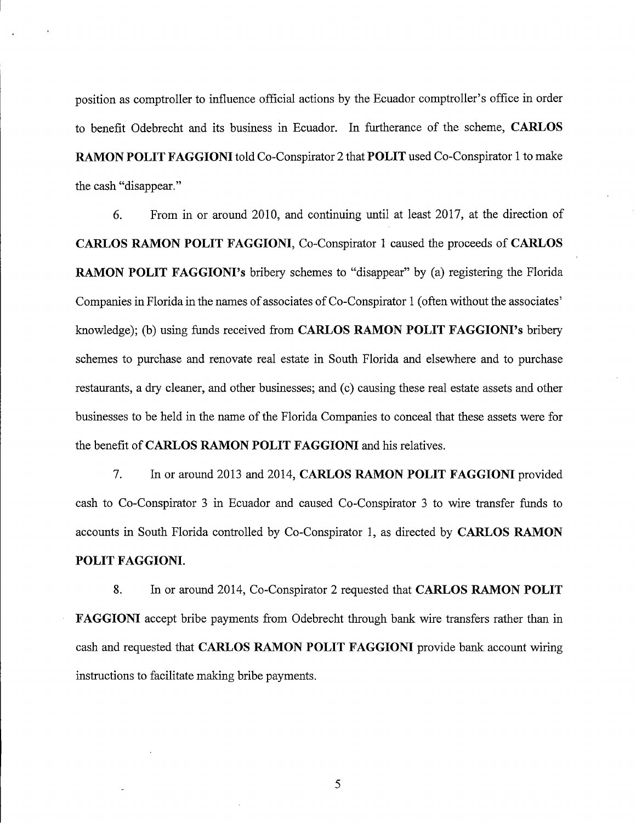position as comptroller to influence official actions by the Ecuador comptroller's office in order to benefit Odebrecht and its business in Ecuador. In furtherance of the scheme, CARLOS RAMON POLIT FAGGIONI told Co-Conspirator 2 that POLIT used Co-Conspirator 1 to make the cash "disappear."

From in or around 2010, and continuing until at least 2017, at the direction of 6 CARLOS RAMON POLIT FAGGIONI, Co-Conspirator 1 caused the proceeds of CARLOS **RAMON POLIT FAGGIONI's bribery schemes to "disappear" by (a) registering the Florida** Companies in Florida in the names of associates of Co-Conspirator 1 (often without the associates' knowledge); (b) using funds received from CARLOS RAMON POLIT FAGGIONI's bribery schemes to purchase and renovate real estate in South Florida and elsewhere and to purchase restaurants, a dry cleaner, and other businesses; and (c) causing these real estate assets and other businesses to be held in the name of the Florida Companies to conceal that these assets were for the benefit of CARLOS RAMON POLIT FAGGIONI and his relatives.

7. In or around 2013 and 2014, CARLOS RAMON POLIT FAGGIONI provided cash to Co-Conspirator 3 in Ecuador and caused Co-Conspirator 3 to wire transfer funds to accounts in South Florida controlled by Co-Conspirator 1, as directed by CARLOS RAMON POLIT FAGGIONI.

8. In or around 2014, Co-Conspirator 2 requested that CARLOS RAMON POLIT **FAGGIONI** accept bribe payments from Odebrecht through bank wire transfers rather than in cash and requested that CARLOS RAMON POLIT FAGGIONI provide bank account wiring instructions to facilitate making bribe payments.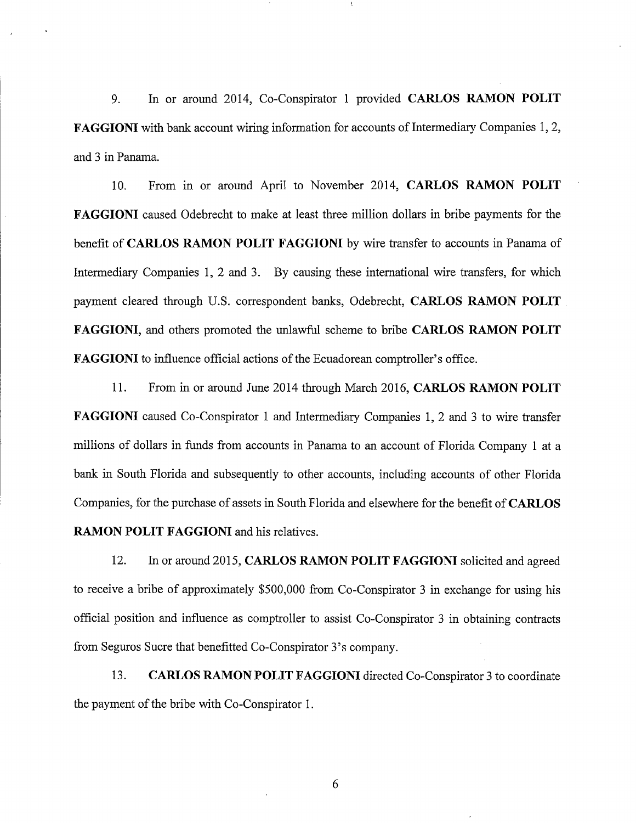In or around 2014, Co-Conspirator 1 provided CARLOS RAMON POLIT 9. FAGGIONI with bank account wiring information for accounts of Intermediary Companies 1, 2, and 3 in Panama.

 $10<sub>1</sub>$ From in or around April to November 2014, CARLOS RAMON POLIT FAGGIONI caused Odebrecht to make at least three million dollars in bribe payments for the benefit of CARLOS RAMON POLIT FAGGIONI by wire transfer to accounts in Panama of Intermediary Companies 1, 2 and 3. By causing these international wire transfers, for which payment cleared through U.S. correspondent banks, Odebrecht, CARLOS RAMON POLIT FAGGIONI, and others promoted the unlawful scheme to bribe CARLOS RAMON POLIT **FAGGIONI** to influence official actions of the Ecuadorean comptroller's office.

11. From in or around June 2014 through March 2016, CARLOS RAMON POLIT FAGGIONI caused Co-Conspirator 1 and Intermediary Companies 1, 2 and 3 to wire transfer millions of dollars in funds from accounts in Panama to an account of Florida Company 1 at a bank in South Florida and subsequently to other accounts, including accounts of other Florida Companies, for the purchase of assets in South Florida and elsewhere for the benefit of CARLOS **RAMON POLIT FAGGIONI** and his relatives.

12. In or around 2015, CARLOS RAMON POLIT FAGGIONI solicited and agreed to receive a bribe of approximately \$500,000 from Co-Conspirator 3 in exchange for using his official position and influence as comptroller to assist Co-Conspirator 3 in obtaining contracts from Seguros Sucre that benefitted Co-Conspirator 3's company.

13. CARLOS RAMON POLIT FAGGIONI directed Co-Conspirator 3 to coordinate the payment of the bribe with Co-Conspirator 1.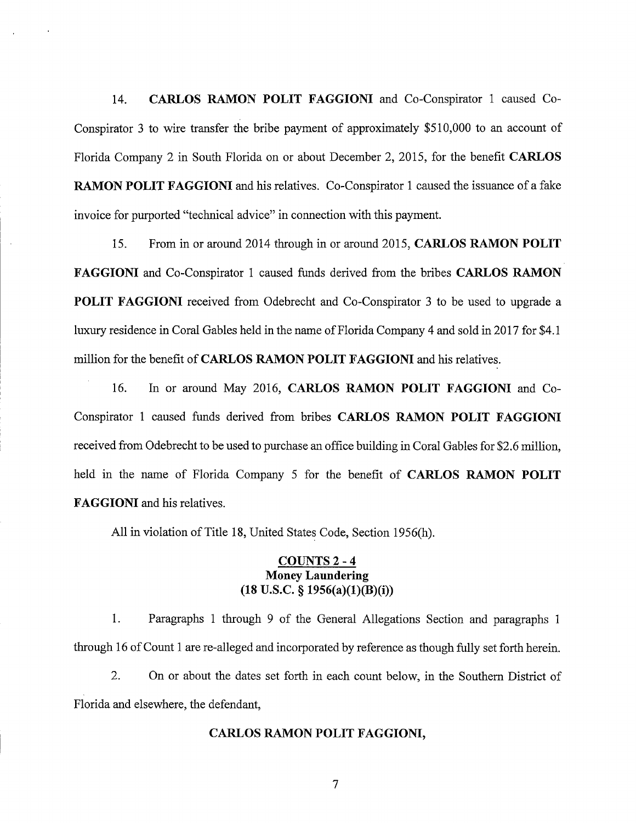CARLOS RAMON POLIT FAGGIONI and Co-Conspirator 1 caused Co-14. Conspirator 3 to wire transfer the bribe payment of approximately \$510,000 to an account of Florida Company 2 in South Florida on or about December 2, 2015, for the benefit CARLOS **RAMON POLIT FAGGIONI** and his relatives. Co-Conspirator 1 caused the issuance of a fake invoice for purported "technical advice" in connection with this payment.

 $15.$ From in or around 2014 through in or around 2015, CARLOS RAMON POLIT FAGGIONI and Co-Conspirator 1 caused funds derived from the bribes CARLOS RAMON **POLIT FAGGIONI** received from Odebrecht and Co-Conspirator 3 to be used to upgrade a luxury residence in Coral Gables held in the name of Florida Company 4 and sold in 2017 for \$4.1 million for the benefit of CARLOS RAMON POLIT FAGGIONI and his relatives.

 $16.$ In or around May 2016, CARLOS RAMON POLIT FAGGIONI and Co-Conspirator 1 caused funds derived from bribes CARLOS RAMON POLIT FAGGIONI received from Odebrecht to be used to purchase an office building in Coral Gables for \$2.6 million, held in the name of Florida Company 5 for the benefit of CARLOS RAMON POLIT **FAGGIONI** and his relatives.

All in violation of Title 18, United States Code, Section 1956(h).

## COUNTS 2 - 4 **Money Laundering**  $(18$  U.S.C. § 1956(a)(1)(B)(i))

1. Paragraphs 1 through 9 of the General Allegations Section and paragraphs 1 through 16 of Count 1 are re-alleged and incorporated by reference as though fully set forth herein.

 $2.$ On or about the dates set forth in each count below, in the Southern District of Florida and elsewhere, the defendant,

### CARLOS RAMON POLIT FAGGIONI,

 $\overline{7}$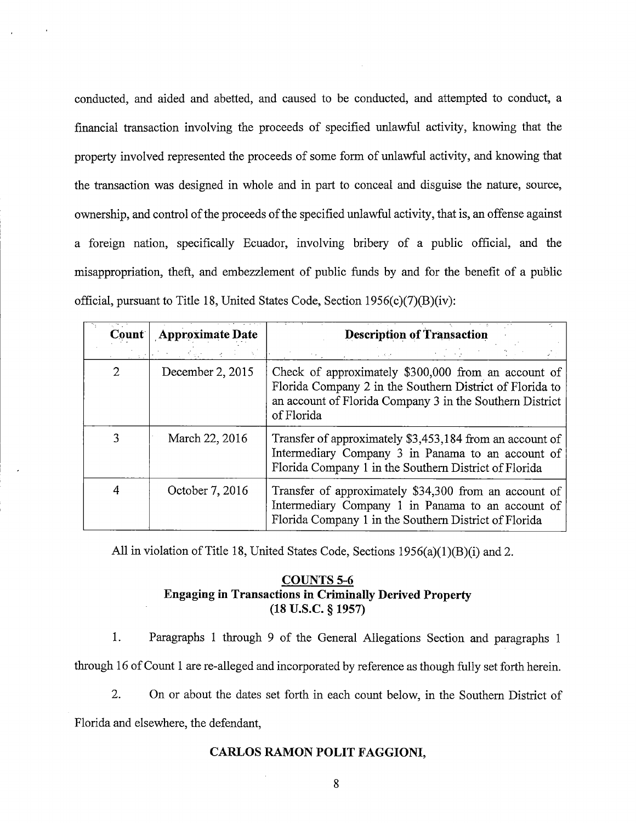conducted, and aided and abetted, and caused to be conducted, and attempted to conduct, a financial transaction involving the proceeds of specified unlawful activity, knowing that the property involved represented the proceeds of some form of unlawful activity, and knowing that the transaction was designed in whole and in part to conceal and disguise the nature, source, ownership, and control of the proceeds of the specified unlawful activity, that is, an offense against a foreign nation, specifically Ecuador, involving bribery of a public official, and the misappropriation, theft, and embezzlement of public funds by and for the benefit of a public official, pursuant to Title 18, United States Code, Section 1956(c)(7)(B)(iv):

| Count          | <b>Approximate Date</b> | <b>Description of Transaction</b>                                                                                                                                                         |  |
|----------------|-------------------------|-------------------------------------------------------------------------------------------------------------------------------------------------------------------------------------------|--|
|                |                         |                                                                                                                                                                                           |  |
| $\overline{2}$ | December 2, 2015        | Check of approximately \$300,000 from an account of<br>Florida Company 2 in the Southern District of Florida to<br>an account of Florida Company 3 in the Southern District<br>of Florida |  |
| 3              | March 22, 2016          | Transfer of approximately \$3,453,184 from an account of<br>Intermediary Company 3 in Panama to an account of<br>Florida Company 1 in the Southern District of Florida                    |  |
| 4              | October 7, 2016         | Transfer of approximately \$34,300 from an account of<br>Intermediary Company 1 in Panama to an account of<br>Florida Company 1 in the Southern District of Florida                       |  |

All in violation of Title 18, United States Code, Sections 1956(a)(1)(B)(i) and 2.

## **COUNTS 5-6 Engaging in Transactions in Criminally Derived Property**  $(18$  U.S.C.  $§$  1957)

 $1<sub>1</sub>$ Paragraphs 1 through 9 of the General Allegations Section and paragraphs 1 through 16 of Count 1 are re-alleged and incorporated by reference as though fully set forth herein.

 $2.$ On or about the dates set forth in each count below, in the Southern District of

Florida and elsewhere, the defendant,

### **CARLOS RAMON POLIT FAGGIONI.**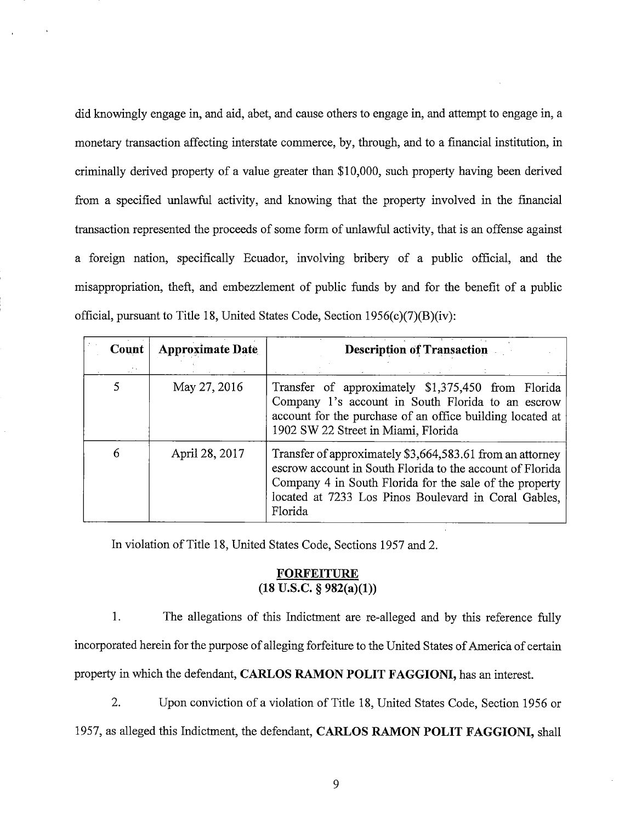did knowingly engage in, and aid, abet, and cause others to engage in, and attempt to engage in, a monetary transaction affecting interstate commerce, by, through, and to a financial institution, in criminally derived property of a value greater than \$10,000, such property having been derived from a specified unlawful activity, and knowing that the property involved in the financial transaction represented the proceeds of some form of unlawful activity, that is an offense against a foreign nation, specifically Ecuador, involving bribery of a public official, and the misappropriation, theft, and embezzlement of public funds by and for the benefit of a public official, pursuant to Title 18, United States Code, Section 1956(c)(7)(B)(iv):

| Count | <b>Approximate Date</b> | <b>Description of Transaction</b>                                                                                                                                                                                                                    |
|-------|-------------------------|------------------------------------------------------------------------------------------------------------------------------------------------------------------------------------------------------------------------------------------------------|
|       | May 27, 2016            | Transfer of approximately \$1,375,450 from Florida<br>Company 1's account in South Florida to an escrow<br>account for the purchase of an office building located at<br>1902 SW 22 Street in Miami, Florida                                          |
| 6     | April 28, 2017          | Transfer of approximately \$3,664,583.61 from an attorney<br>escrow account in South Florida to the account of Florida<br>Company 4 in South Florida for the sale of the property<br>located at 7233 Los Pinos Boulevard in Coral Gables,<br>Florida |

In violation of Title 18, United States Code, Sections 1957 and 2.

## **FORFEITURE**  $(18 \overline{\text{ U.S.C. } } \frac{5982(a)}{1})$

1. The allegations of this Indictment are re-alleged and by this reference fully

incorporated herein for the purpose of alleging forfeiture to the United States of America of certain

property in which the defendant, CARLOS RAMON POLIT FAGGIONI, has an interest.

 $2.$ Upon conviction of a violation of Title 18, United States Code, Section 1956 or

1957, as alleged this Indictment, the defendant, CARLOS RAMON POLIT FAGGIONI, shall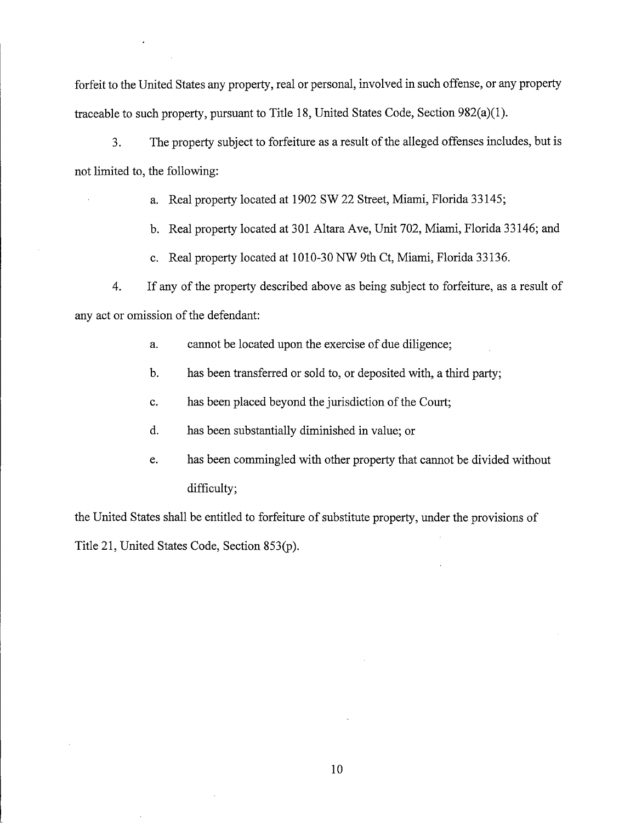forfeit to the United States any property, real or personal, involved in such offense, or any property traceable to such property, pursuant to Title 18, United States Code, Section 982(a)(1).

 $3<sub>1</sub>$ The property subject to forfeiture as a result of the alleged offenses includes, but is not limited to, the following:

a. Real property located at 1902 SW 22 Street, Miami, Florida 33145;

b. Real property located at 301 Altara Ave, Unit 702, Miami, Florida 33146; and

c. Real property located at 1010-30 NW 9th Ct, Miami, Florida 33136.

 $\overline{4}$ . If any of the property described above as being subject to forfeiture, as a result of any act or omission of the defendant:

> cannot be located upon the exercise of due diligence; a.

has been transferred or sold to, or deposited with, a third party;  $b.$ 

has been placed beyond the jurisdiction of the Court;  $\mathbf{c}$ .

d. has been substantially diminished in value; or

has been commingled with other property that cannot be divided without e. difficulty;

the United States shall be entitled to forfeiture of substitute property, under the provisions of Title 21, United States Code, Section 853(p).